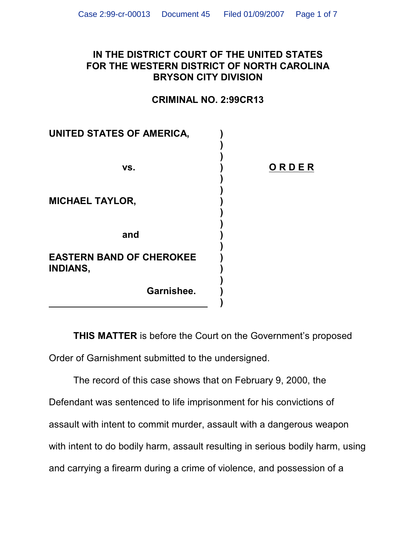## **IN THE DISTRICT COURT OF THE UNITED STATES FOR THE WESTERN DISTRICT OF NORTH CAROLINA BRYSON CITY DIVISION**

## **CRIMINAL NO. 2:99CR13**

| UNITED STATES OF AMERICA,                          |       |
|----------------------------------------------------|-------|
| VS.                                                | ORDER |
| <b>MICHAEL TAYLOR,</b>                             |       |
| and                                                |       |
| <b>EASTERN BAND OF CHEROKEE</b><br><b>INDIANS,</b> |       |
| Garnishee.                                         |       |

**THIS MATTER** is before the Court on the Government's proposed Order of Garnishment submitted to the undersigned.

The record of this case shows that on February 9, 2000, the Defendant was sentenced to life imprisonment for his convictions of assault with intent to commit murder, assault with a dangerous weapon with intent to do bodily harm, assault resulting in serious bodily harm, using and carrying a firearm during a crime of violence, and possession of a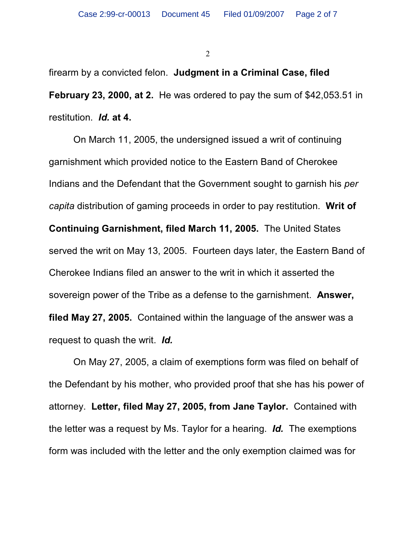firearm by a convicted felon. **Judgment in a Criminal Case, filed February 23, 2000, at 2.** He was ordered to pay the sum of \$42,053.51 in restitution. *Id.* **at 4.**

On March 11, 2005, the undersigned issued a writ of continuing garnishment which provided notice to the Eastern Band of Cherokee Indians and the Defendant that the Government sought to garnish his *per capita* distribution of gaming proceeds in order to pay restitution. **Writ of Continuing Garnishment, filed March 11, 2005.** The United States served the writ on May 13, 2005. Fourteen days later, the Eastern Band of Cherokee Indians filed an answer to the writ in which it asserted the sovereign power of the Tribe as a defense to the garnishment. **Answer, filed May 27, 2005.** Contained within the language of the answer was a request to quash the writ. *Id.*

On May 27, 2005, a claim of exemptions form was filed on behalf of the Defendant by his mother, who provided proof that she has his power of attorney. **Letter, filed May 27, 2005, from Jane Taylor.** Contained with the letter was a request by Ms. Taylor for a hearing. *Id.* The exemptions form was included with the letter and the only exemption claimed was for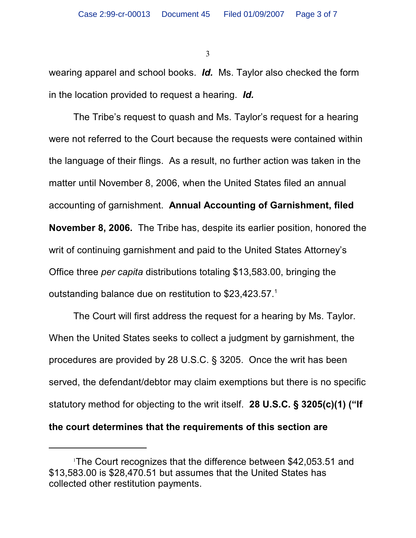wearing apparel and school books. *Id.* Ms. Taylor also checked the form in the location provided to request a hearing. *Id.*

The Tribe's request to quash and Ms. Taylor's request for a hearing were not referred to the Court because the requests were contained within the language of their flings. As a result, no further action was taken in the matter until November 8, 2006, when the United States filed an annual accounting of garnishment. **Annual Accounting of Garnishment, filed November 8, 2006.** The Tribe has, despite its earlier position, honored the writ of continuing garnishment and paid to the United States Attorney's Office three *per capita* distributions totaling \$13,583.00, bringing the outstanding balance due on restitution to  $$23,423.57.^1$ 

The Court will first address the request for a hearing by Ms. Taylor. When the United States seeks to collect a judgment by garnishment, the procedures are provided by 28 U.S.C. § 3205. Once the writ has been served, the defendant/debtor may claim exemptions but there is no specific statutory method for objecting to the writ itself. **28 U.S.C. § 3205(c)(1) ("If the court determines that the requirements of this section are**

The Court recognizes that the difference between \$42,053.51 and 1 \$13,583.00 is \$28,470.51 but assumes that the United States has collected other restitution payments.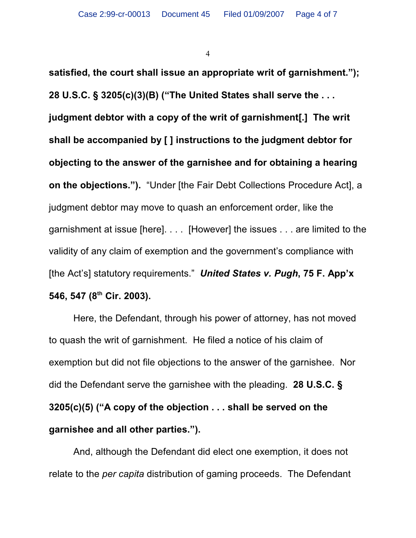**satisfied, the court shall issue an appropriate writ of garnishment."); 28 U.S.C. § 3205(c)(3)(B) ("The United States shall serve the . . . judgment debtor with a copy of the writ of garnishment[.] The writ shall be accompanied by [ ] instructions to the judgment debtor for objecting to the answer of the garnishee and for obtaining a hearing on the objections.").** "Under [the Fair Debt Collections Procedure Act], a judgment debtor may move to quash an enforcement order, like the garnishment at issue [here]. . . . [However] the issues . . . are limited to the validity of any claim of exemption and the government's compliance with [the Act's] statutory requirements." *United States v. Pugh***, 75 F. App'x** 546, 547 (8<sup>th</sup> Cir. 2003).

Here, the Defendant, through his power of attorney, has not moved to quash the writ of garnishment. He filed a notice of his claim of exemption but did not file objections to the answer of the garnishee. Nor did the Defendant serve the garnishee with the pleading. **28 U.S.C. § 3205(c)(5) ("A copy of the objection . . . shall be served on the garnishee and all other parties.").**

And, although the Defendant did elect one exemption, it does not relate to the *per capita* distribution of gaming proceeds. The Defendant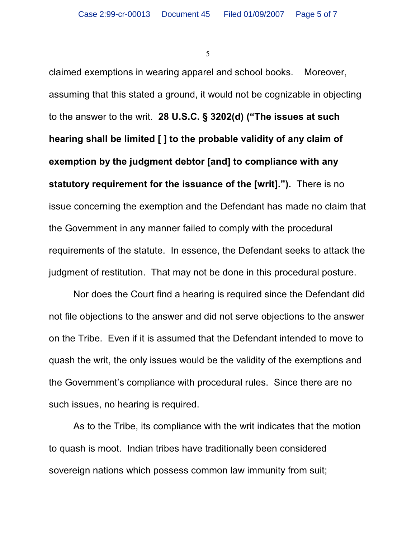claimed exemptions in wearing apparel and school books. Moreover, assuming that this stated a ground, it would not be cognizable in objecting to the answer to the writ. **28 U.S.C. § 3202(d) ("The issues at such hearing shall be limited [ ] to the probable validity of any claim of exemption by the judgment debtor [and] to compliance with any statutory requirement for the issuance of the [writ].").** There is no issue concerning the exemption and the Defendant has made no claim that the Government in any manner failed to comply with the procedural requirements of the statute. In essence, the Defendant seeks to attack the judgment of restitution. That may not be done in this procedural posture.

Nor does the Court find a hearing is required since the Defendant did not file objections to the answer and did not serve objections to the answer on the Tribe. Even if it is assumed that the Defendant intended to move to quash the writ, the only issues would be the validity of the exemptions and the Government's compliance with procedural rules. Since there are no such issues, no hearing is required.

As to the Tribe, its compliance with the writ indicates that the motion to quash is moot. Indian tribes have traditionally been considered sovereign nations which possess common law immunity from suit;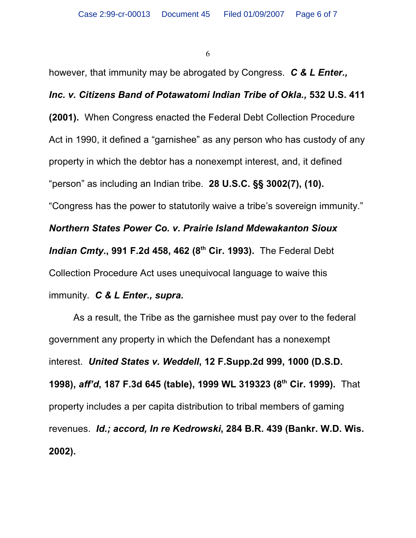however, that immunity may be abrogated by Congress. *C & L Enter.,*

## *Inc. v. Citizens Band of Potawatomi Indian Tribe of Okla.,* **532 U.S. 411**

**(2001).** When Congress enacted the Federal Debt Collection Procedure Act in 1990, it defined a "garnishee" as any person who has custody of any property in which the debtor has a nonexempt interest, and, it defined "person" as including an Indian tribe. **28 U.S.C. §§ 3002(7), (10).** "Congress has the power to statutorily waive a tribe's sovereign immunity." *Northern States Power Co. v. Prairie Island Mdewakanton Sioux Indian Cmty.***, 991 F.2d 458, 462 (8<sup>th</sup> Cir. 1993). The Federal Debt** Collection Procedure Act uses unequivocal language to waive this immunity. *C & L Enter., supra***.**

As a result, the Tribe as the garnishee must pay over to the federal government any property in which the Defendant has a nonexempt interest. *United States v. Weddell***, 12 F.Supp.2d 999, 1000 (D.S.D. 1998),** *aff'd***, 187 F.3d 645 (table), 1999 WL 319323 (8<sup>th</sup> Cir. 1999).** That property includes a per capita distribution to tribal members of gaming revenues. *Id.; accord, In re Kedrowski***, 284 B.R. 439 (Bankr. W.D. Wis. 2002).**